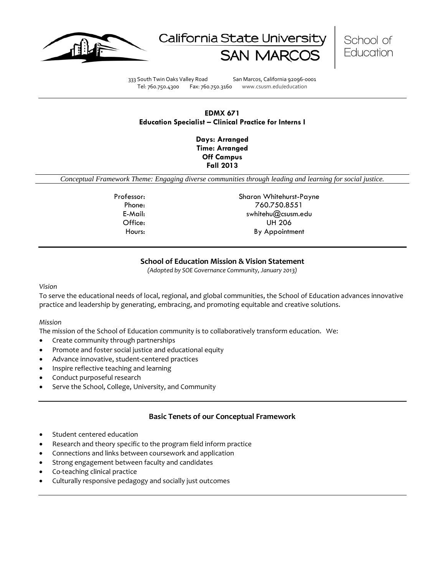





333 South Twin Oaks Valley Road San Marcos, California 92096-0001 Tel: 760.750.4300 Fax: 760.750.3160 www.csusm.edu/education

# **EDMX 671 Education Specialist – Clinical Practice for Interns I**

**Days: Arranged Time: Arranged Off Campus Fall 2013** 

*Conceptual Framework Theme: Engaging diverse communities through leading and learning for social justice.*

Professor: Sharon Whitehurst-Payne Phone: 760.750.8551 E-Mail: swhitehu@csusm.edu Office: UH 206 Hours: By Appointment

# **School of Education Mission & Vision Statement**

*(Adopted by SOE Governance Community, January 2013)*

#### *Vision*

To serve the educational needs of local, regional, and global communities, the School of Education advances innovative practice and leadership by generating, embracing, and promoting equitable and creative solutions.

#### *Mission*

The mission of the School of Education community is to collaboratively transform education. We:

- Create community through partnerships
- Promote and foster social justice and educational equity
- Advance innovative, student-centered practices
- Inspire reflective teaching and learning
- Conduct purposeful research
- Serve the School, College, University, and Community

### **Basic Tenets of our Conceptual Framework**

- Student centered education
- Research and theory specific to the program field inform practice
- Connections and links between coursework and application
- Strong engagement between faculty and candidates
- Co-teaching clinical practice
- Culturally responsive pedagogy and socially just outcomes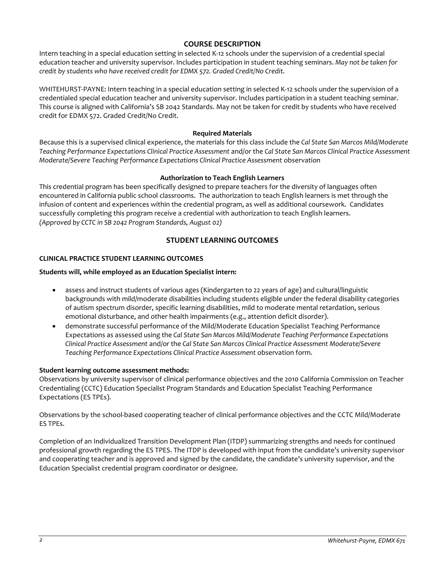# **COURSE DESCRIPTION**

Intern teaching in a special education setting in selected K-12 schools under the supervision of a credential special education teacher and university supervisor. Includes participation in student teaching seminars. *May not be taken for credit by students who have received credit for EDMX 572. Graded Credit/No Credit.*

WHITEHURST-PAYNE: Intern teaching in a special education setting in selected K-12 schools under the supervision of a credentialed special education teacher and university supervisor. Includes participation in a student teaching seminar. This course is aligned with California's SB 2042 Standards. May not be taken for credit by students who have received credit for EDMX 572. Graded Credit/No Credit.

### **Required Materials**

Because this is a supervised clinical experience, the materials for this class include the *Cal State San Marcos Mild/Moderate Teaching Performance Expectations Clinical Practice Assessment* and/or the *Cal State San Marcos Clinical Practice Assessment Moderate/Severe Teaching Performance Expectations Clinical Practice Assessment* observation

# **Authorization to Teach English Learners**

This credential program has been specifically designed to prepare teachers for the diversity of languages often encountered in California public school classrooms. The authorization to teach English learners is met through the infusion of content and experiences within the credential program, as well as additional coursework. Candidates successfully completing this program receive a credential with authorization to teach English learners. *(Approved by CCTC in SB 2042 Program Standards, August 02)*

# **STUDENT LEARNING OUTCOMES**

# **CLINICAL PRACTICE STUDENT LEARNING OUTCOMES**

# **Students will, while employed as an Education Specialist intern:**

- assess and instruct students of various ages (Kindergarten to 22 years of age) and cultural/linguistic backgrounds with mild/moderate disabilities including students eligible under the federal disability categories of autism spectrum disorder, specific learning disabilities, mild to moderate mental retardation, serious emotional disturbance, and other health impairments (e.g., attention deficit disorder).
- demonstrate successful performance of the Mild/Moderate Education Specialist Teaching Performance Expectations as assessed using the *Cal State San Marcos Mild/Moderate Teaching Performance Expectations Clinical Practice Assessment* and/or the *Cal State San Marcos Clinical Practice Assessment Moderate/Severe Teaching Performance Expectations Clinical Practice Assessment* observation form.

### **Student learning outcome assessment methods:**

Observations by university supervisor of clinical performance objectives and the 2010 California Commission on Teacher Credentialing (CCTC) Education Specialist Program Standards and Education Specialist Teaching Performance Expectations (ES TPEs).

Observations by the school-based cooperating teacher of clinical performance objectives and the CCTC Mild/Moderate ES TPEs.

Completion of an Individualized Transition Development Plan (ITDP) summarizing strengths and needs for continued professional growth regarding the ES TPES. The ITDP is developed with input from the candidate's university supervisor and cooperating teacher and is approved and signed by the candidate, the candidate's university supervisor, and the Education Specialist credential program coordinator or designee.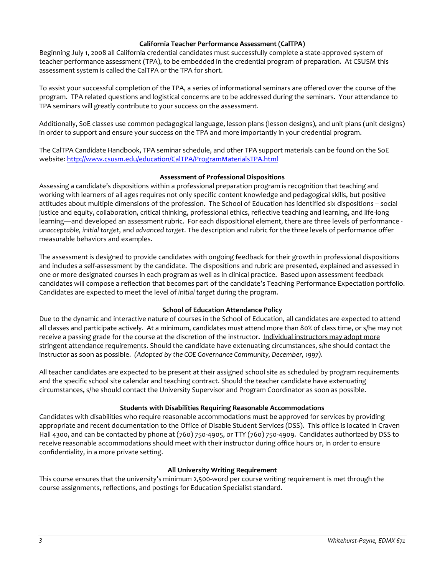### **California Teacher Performance Assessment (CalTPA)**

Beginning July 1, 2008 all California credential candidates must successfully complete a state-approved system of teacher performance assessment (TPA), to be embedded in the credential program of preparation. At CSUSM this assessment system is called the CalTPA or the TPA for short.

To assist your successful completion of the TPA, a series of informational seminars are offered over the course of the program. TPA related questions and logistical concerns are to be addressed during the seminars. Your attendance to TPA seminars will greatly contribute to your success on the assessment.

Additionally, SoE classes use common pedagogical language, lesson plans (lesson designs), and unit plans (unit designs) in order to support and ensure your success on the TPA and more importantly in your credential program.

The CalTPA Candidate Handbook, TPA seminar schedule, and other TPA support materials can be found on the SoE website: <http://www.csusm.edu/education/CalTPA/ProgramMaterialsTPA.html>

# **Assessment of Professional Dispositions**

Assessing a candidate's dispositions within a professional preparation program is recognition that teaching and working with learners of all ages requires not only specific content knowledge and pedagogical skills, but positive attitudes about multiple dimensions of the profession. The School of Education has identified six dispositions – social justice and equity, collaboration, critical thinking, professional ethics, reflective teaching and learning, and life-long learning—and developed an assessment rubric. For each dispositional element, there are three levels of performance *unacceptable*, *initial target*, and *advanced target*. The description and rubric for the three levels of performance offer measurable behaviors and examples.

The assessment is designed to provide candidates with ongoing feedback for their growth in professional dispositions and includes a self-assessment by the candidate. The dispositions and rubric are presented, explained and assessed in one or more designated courses in each program as well as in clinical practice. Based upon assessment feedback candidates will compose a reflection that becomes part of the candidate's Teaching Performance Expectation portfolio. Candidates are expected to meet the level of *initial target* during the program.

# **School of Education Attendance Policy**

Due to the dynamic and interactive nature of courses in the School of Education, all candidates are expected to attend all classes and participate actively. At a minimum, candidates must attend more than 80% of class time, or s/he may not receive a passing grade for the course at the discretion of the instructor. Individual instructors may adopt more stringent attendance requirements. Should the candidate have extenuating circumstances, s/he should contact the instructor as soon as possible. *(Adopted by the COE Governance Community, December, 1997).*

All teacher candidates are expected to be present at their assigned school site as scheduled by program requirements and the specific school site calendar and teaching contract. Should the teacher candidate have extenuating circumstances, s/he should contact the University Supervisor and Program Coordinator as soon as possible.

# **Students with Disabilities Requiring Reasonable Accommodations**

Candidates with disabilities who require reasonable accommodations must be approved for services by providing appropriate and recent documentation to the Office of Disable Student Services (DSS). This office is located in Craven Hall 4300, and can be contacted by phone at (760) 750-4905, or TTY (760) 750-4909. Candidates authorized by DSS to receive reasonable accommodations should meet with their instructor during office hours or, in order to ensure confidentiality, in a more private setting.

### **All University Writing Requirement**

This course ensures that the university's minimum 2,500-word per course writing requirement is met through the course assignments, reflections, and postings for Education Specialist standard.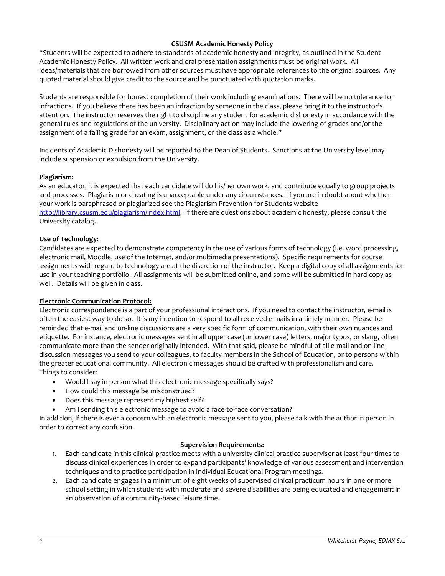# **CSUSM Academic Honesty Policy**

"Students will be expected to adhere to standards of academic honesty and integrity, as outlined in the Student Academic Honesty Policy. All written work and oral presentation assignments must be original work. All ideas/materials that are borrowed from other sources must have appropriate references to the original sources. Any quoted material should give credit to the source and be punctuated with quotation marks.

Students are responsible for honest completion of their work including examinations. There will be no tolerance for infractions. If you believe there has been an infraction by someone in the class, please bring it to the instructor's attention. The instructor reserves the right to discipline any student for academic dishonesty in accordance with the general rules and regulations of the university. Disciplinary action may include the lowering of grades and/or the assignment of a failing grade for an exam, assignment, or the class as a whole."

Incidents of Academic Dishonesty will be reported to the Dean of Students. Sanctions at the University level may include suspension or expulsion from the University.

### **Plagiarism:**

As an educator, it is expected that each candidate will do his/her own work, and contribute equally to group projects and processes. Plagiarism or cheating is unacceptable under any circumstances. If you are in doubt about whether your work is paraphrased or plagiarized see the Plagiarism Prevention for Students website [http://library.csusm.edu/plagiarism/index.html.](http://library.csusm.edu/plagiarism/index.html) If there are questions about academic honesty, please consult the University catalog.

# **Use of Technology:**

Candidates are expected to demonstrate competency in the use of various forms of technology (i.e. word processing, electronic mail, Moodle, use of the Internet, and/or multimedia presentations). Specific requirements for course assignments with regard to technology are at the discretion of the instructor. Keep a digital copy of all assignments for use in your teaching portfolio. All assignments will be submitted online, and some will be submitted in hard copy as well. Details will be given in class.

### **Electronic Communication Protocol:**

Electronic correspondence is a part of your professional interactions. If you need to contact the instructor, e-mail is often the easiest way to do so. It is my intention to respond to all received e-mails in a timely manner. Please be reminded that e-mail and on-line discussions are a very specific form of communication, with their own nuances and etiquette. For instance, electronic messages sent in all upper case (or lower case) letters, major typos, or slang, often communicate more than the sender originally intended. With that said, please be mindful of all e-mail and on-line discussion messages you send to your colleagues, to faculty members in the School of Education, or to persons within the greater educational community. All electronic messages should be crafted with professionalism and care. Things to consider:

- Would I say in person what this electronic message specifically says?
- How could this message be misconstrued?
- Does this message represent my highest self?
- Am I sending this electronic message to avoid a face-to-face conversation?

In addition, if there is ever a concern with an electronic message sent to you, please talk with the author in person in order to correct any confusion.

### **Supervision Requirements:**

- 1. Each candidate in this clinical practice meets with a university clinical practice supervisor at least four times to discuss clinical experiences in order to expand participants' knowledge of various assessment and intervention techniques and to practice participation in Individual Educational Program meetings.
- 2. Each candidate engages in a minimum of eight weeks of supervised clinical practicum hours in one or more school setting in which students with moderate and severe disabilities are being educated and engagement in an observation of a community-based leisure time.